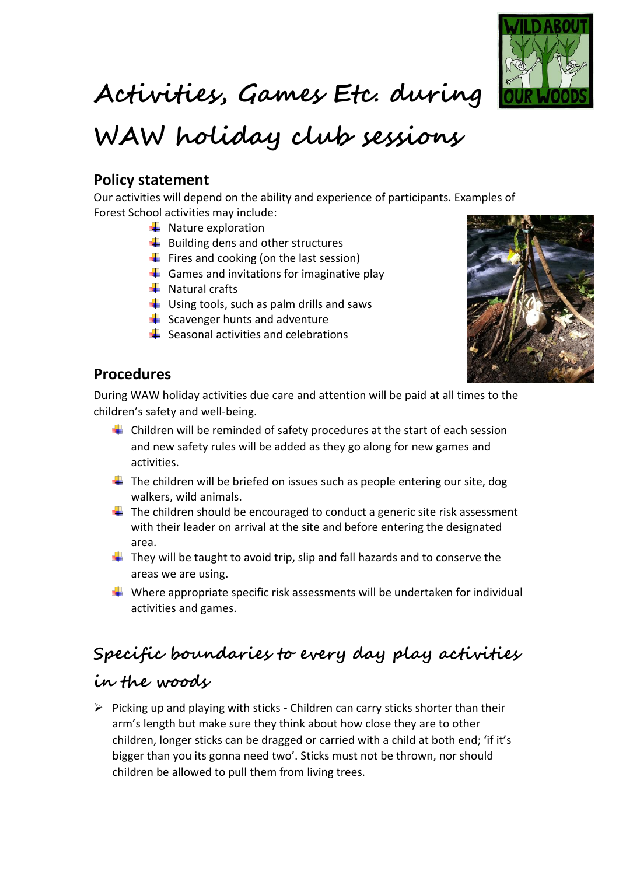

# **Activities, Games Etc. during**

# **WAW holiday club sessions**

#### **Policy statement**

Our activities will depend on the ability and experience of participants. Examples of Forest School activities may include:

- $\downarrow$  Nature exploration
- $\bigstar$  Building dens and other structures
- $\bigstar$  Fires and cooking (on the last session)
- $\triangleq$  Games and invitations for imaginative play
- $\frac{1}{\sqrt{2}}$  Natural crafts
- $\downarrow$  Using tools, such as palm drills and saws
- $\frac{1}{2}$  Scavenger hunts and adventure
- $\leftarrow$  Seasonal activities and celebrations



#### **Procedures**

During WAW holiday activities due care and attention will be paid at all times to the children's safety and well-being.

- $\ddot{\bullet}$  Children will be reminded of safety procedures at the start of each session and new safety rules will be added as they go along for new games and activities.
- $\ddot{+}$  The children will be briefed on issues such as people entering our site, dog walkers, wild animals.
- $\downarrow$  The children should be encouraged to conduct a generic site risk assessment with their leader on arrival at the site and before entering the designated area.
- $\ddot{+}$  They will be taught to avoid trip, slip and fall hazards and to conserve the areas we are using.
- $\downarrow$  Where appropriate specific risk assessments will be undertaken for individual activities and games.

### **Specific boundaries to every day play activities**

### **in the woods**

 $\triangleright$  Picking up and playing with sticks - Children can carry sticks shorter than their arm's length but make sure they think about how close they are to other children, longer sticks can be dragged or carried with a child at both end; 'if it's bigger than you its gonna need two'. Sticks must not be thrown, nor should children be allowed to pull them from living trees.